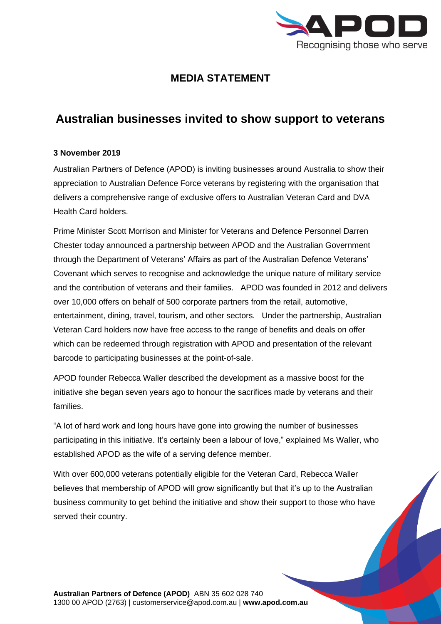

## **MEDIA STATEMENT**

## **Australian businesses invited to show support to veterans**

## **3 November 2019**

Australian Partners of Defence (APOD) is inviting businesses around Australia to show their appreciation to Australian Defence Force veterans by registering with the organisation that delivers a comprehensive range of exclusive offers to Australian Veteran Card and DVA Health Card holders.

Prime Minister Scott Morrison and Minister for Veterans and Defence Personnel Darren Chester today announced a partnership between APOD and the Australian Government through the Department of Veterans' Affairs as part of the Australian Defence Veterans' Covenant which serves to recognise and acknowledge the unique nature of military service and the contribution of veterans and their families. APOD was founded in 2012 and delivers over 10,000 offers on behalf of 500 corporate partners from the retail, automotive, entertainment, dining, travel, tourism, and other sectors. Under the partnership, Australian Veteran Card holders now have free access to the range of benefits and deals on offer which can be redeemed through registration with APOD and presentation of the relevant barcode to participating businesses at the point-of-sale.

APOD founder Rebecca Waller described the development as a massive boost for the initiative she began seven years ago to honour the sacrifices made by veterans and their families.

"A lot of hard work and long hours have gone into growing the number of businesses participating in this initiative. It's certainly been a labour of love," explained Ms Waller, who established APOD as the wife of a serving defence member.

With over 600,000 veterans potentially eligible for the Veteran Card, Rebecca Waller believes that membership of APOD will grow significantly but that it's up to the Australian business community to get behind the initiative and show their support to those who have served their country.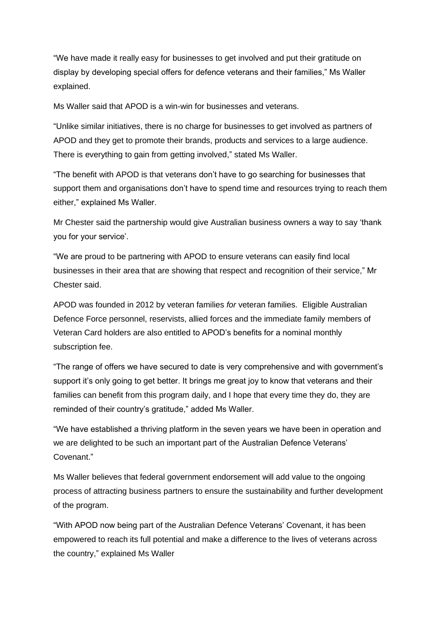"We have made it really easy for businesses to get involved and put their gratitude on display by developing special offers for defence veterans and their families," Ms Waller explained.

Ms Waller said that APOD is a win-win for businesses and veterans.

"Unlike similar initiatives, there is no charge for businesses to get involved as partners of APOD and they get to promote their brands, products and services to a large audience. There is everything to gain from getting involved," stated Ms Waller.

"The benefit with APOD is that veterans don't have to go searching for businesses that support them and organisations don't have to spend time and resources trying to reach them either," explained Ms Waller.

Mr Chester said the partnership would give Australian business owners a way to say 'thank you for your service'.

"We are proud to be partnering with APOD to ensure veterans can easily find local businesses in their area that are showing that respect and recognition of their service," Mr Chester said.

APOD was founded in 2012 by veteran families *for* veteran families. Eligible Australian Defence Force personnel, reservists, allied forces and the immediate family members of Veteran Card holders are also entitled to APOD's benefits for a nominal monthly subscription fee.

"The range of offers we have secured to date is very comprehensive and with government's support it's only going to get better. It brings me great joy to know that veterans and their families can benefit from this program daily, and I hope that every time they do, they are reminded of their country's gratitude," added Ms Waller.

"We have established a thriving platform in the seven years we have been in operation and we are delighted to be such an important part of the Australian Defence Veterans' Covenant."

Ms Waller believes that federal government endorsement will add value to the ongoing process of attracting business partners to ensure the sustainability and further development of the program.

"With APOD now being part of the Australian Defence Veterans' Covenant, it has been empowered to reach its full potential and make a difference to the lives of veterans across the country," explained Ms Waller